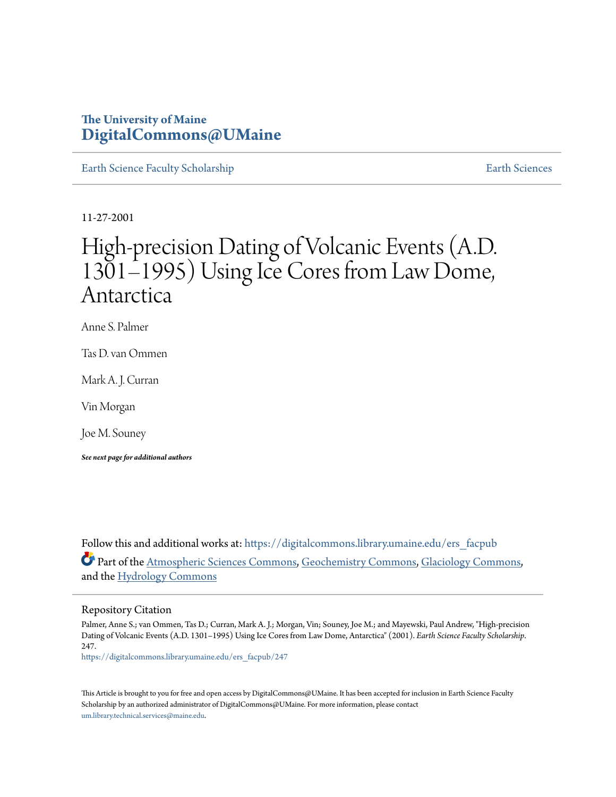## **The University of Maine [DigitalCommons@UMaine](https://digitalcommons.library.umaine.edu?utm_source=digitalcommons.library.umaine.edu%2Fers_facpub%2F247&utm_medium=PDF&utm_campaign=PDFCoverPages)**

[Earth Science Faculty Scholarship](https://digitalcommons.library.umaine.edu/ers_facpub?utm_source=digitalcommons.library.umaine.edu%2Fers_facpub%2F247&utm_medium=PDF&utm_campaign=PDFCoverPages) **[Earth Sciences](https://digitalcommons.library.umaine.edu/ers?utm_source=digitalcommons.library.umaine.edu%2Fers_facpub%2F247&utm_medium=PDF&utm_campaign=PDFCoverPages)** 

11-27-2001

# High-precision Dating of Volcanic Events (A.D. 1301–1995) Using Ice Cores from Law Dome, Antarctica

Anne S. Palmer

Tas D. van Ommen

Mark A. J. Curran

Vin Morgan

Joe M. Souney

*See next page for additional authors*

Follow this and additional works at: [https://digitalcommons.library.umaine.edu/ers\\_facpub](https://digitalcommons.library.umaine.edu/ers_facpub?utm_source=digitalcommons.library.umaine.edu%2Fers_facpub%2F247&utm_medium=PDF&utm_campaign=PDFCoverPages) Part of the [Atmospheric Sciences Commons,](http://network.bepress.com/hgg/discipline/187?utm_source=digitalcommons.library.umaine.edu%2Fers_facpub%2F247&utm_medium=PDF&utm_campaign=PDFCoverPages) [Geochemistry Commons,](http://network.bepress.com/hgg/discipline/157?utm_source=digitalcommons.library.umaine.edu%2Fers_facpub%2F247&utm_medium=PDF&utm_campaign=PDFCoverPages) [Glaciology Commons,](http://network.bepress.com/hgg/discipline/159?utm_source=digitalcommons.library.umaine.edu%2Fers_facpub%2F247&utm_medium=PDF&utm_campaign=PDFCoverPages) and the [Hydrology Commons](http://network.bepress.com/hgg/discipline/1054?utm_source=digitalcommons.library.umaine.edu%2Fers_facpub%2F247&utm_medium=PDF&utm_campaign=PDFCoverPages)

#### Repository Citation

Palmer, Anne S.; van Ommen, Tas D.; Curran, Mark A. J.; Morgan, Vin; Souney, Joe M.; and Mayewski, Paul Andrew, "High-precision Dating of Volcanic Events (A.D. 1301–1995) Using Ice Cores from Law Dome, Antarctica" (2001). *Earth Science Faculty Scholarship*. 247.

[https://digitalcommons.library.umaine.edu/ers\\_facpub/247](https://digitalcommons.library.umaine.edu/ers_facpub/247?utm_source=digitalcommons.library.umaine.edu%2Fers_facpub%2F247&utm_medium=PDF&utm_campaign=PDFCoverPages)

This Article is brought to you for free and open access by DigitalCommons@UMaine. It has been accepted for inclusion in Earth Science Faculty Scholarship by an authorized administrator of DigitalCommons@UMaine. For more information, please contact [um.library.technical.services@maine.edu](mailto:um.library.technical.services@maine.edu).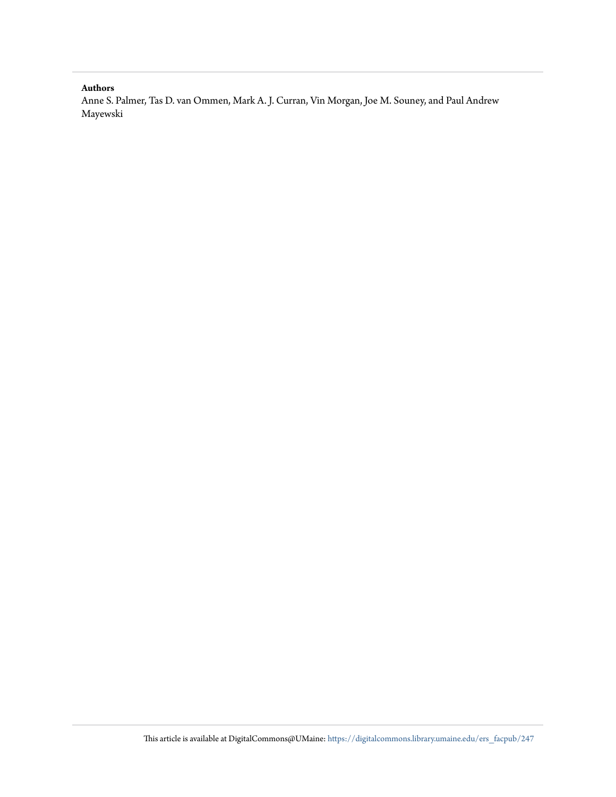#### **Authors**

Anne S. Palmer, Tas D. van Ommen, Mark A. J. Curran, Vin Morgan, Joe M. Souney, and Paul Andrew Mayewski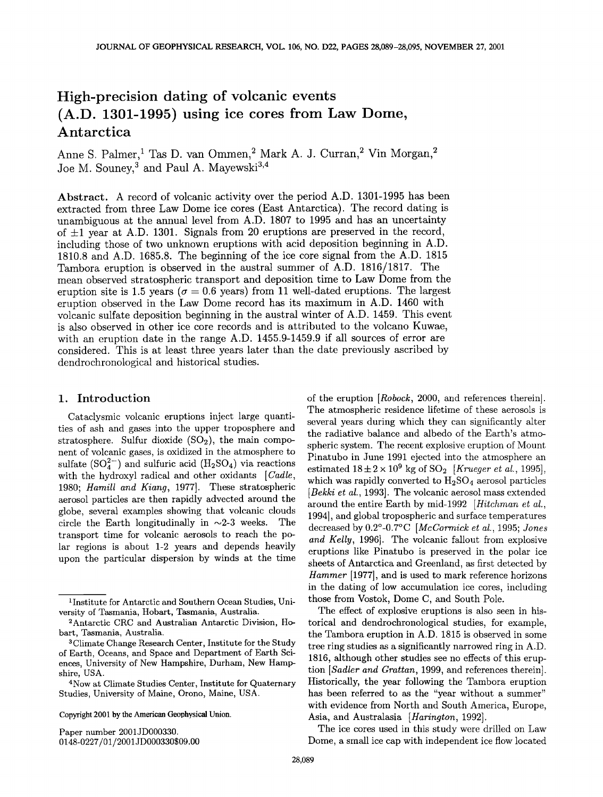# **High-precision dating of volcanic events (A.D. 1301-1995) using ice cores from Law Dome, Antarctica**

Anne S. Palmer,<sup>1</sup> Tas D. van Ommen,<sup>2</sup> Mark A. J. Curran,<sup>2</sup> Vin Morgan,<sup>2</sup> Joe M. Souney,<sup>3</sup> and Paul A. Mayewski<sup>3,4</sup>

**Abstract. A record of volcanic activity over the period A.D. 1301-1995 has been extracted from three Law Dome ice cores (East Antarctica). The record dating is unambiguous at the annual level from A.D. 1807 to 1995 and has an uncertainty of +l year at A.D. 1301. Signals from 20 eruptions are preserved in the record, including those of two unknown eruptions with acid deposition beginning in A.D. 1810.8 and A.D. 1685.8. The beginning of the ice core signal from the A.D. 1815 Tambora eruption is observed in the austral summer of A.D. 1816/1817. The mean observed stratospheric transport and deposition time to Law Dome from the**  eruption site is 1.5 years ( $\sigma = 0.6$  years) from 11 well-dated eruptions. The largest **eruption observed in the Law Dome record has its maximum in A.D. 1460 with volcanic sulfate deposition beginning in the austral winter of A.D. 1459. This event is also observed in other ice core records and is attributed to the volcano Kuwae, with an eruption date in the range A.D. 1455.9-1459.9 if all sources of error are considered. This is at least three years later than the date previously ascribed by dendrochronological and historical studies.** 

#### **1. Introduction**

**Cataclysmic volcanic eruptions inject large quantities of ash and gases into the upper troposphere and**  stratosphere. Sulfur dioxide (SO<sub>2</sub>), the main compo**nent of volcanic gases, is oxidized in the atmosphere to**  sulfate  $(SO_4^{2-})$  and sulfuric acid  $(H_2SO_4)$  via reactions with the hydroxyl radical and other oxidants [Cadle, **1980; Hamill and Kiang, 1977]. These stratospheric aerosol particles are then rapidly advected around the**  globe, several examples showing that volcanic clouds circle the Earth longitudinally in  $\sim$ 2-3 weeks. The circle the Earth longitudinally in  $\sim$ 2-3 weeks. **transport time for volcanic aerosols to reach the polar regions is about 1-2 years and depends heavily upon the particular dispersion by winds at the time** 

**Copyright 2001 by the American Geophysical Union.** 

**Paper number 2001JD000330. 0148-0227/01 /2001JD 000330509. O0**  of the eruption [Robock, 2000, and references therein]. **The atmospheric residence lifetime of these aerosols is several years during which they can significantly alter the radiative balance and albedo of the Earth's atmospheric system. The recent explosive eruption of Mount Pinatubo in June 1991 ejected into the atmosphere an**  estimated  $18 \pm 2 \times 10^9$  kg of SO<sub>2</sub> [*Krueger et al.*, 1995], which was rapidly converted to  $H_2SO_4$  aerosol particles **[Bekki et al., 1993]. The volcanic aerosol mass extended around the entire Earth by mid-1992 [Hitchman et al., 1994], and global tropospheric and surface temperatures decreased by 0.2ø-0.7øC [McCormick et al., 1995; Jones and Kelly, 1996]. The volcanic fallout from explosive eruptions like Pinatubo is preserved in the polar ice sheets of Antarctica and Greenland, as first detected by Hammer [1977], and is used to mark reference horizons in the dating of low accumulation ice cores, including those from Vostok, Dome C, and South Pole.** 

**The effect of explosive eruptions is also seen in historical and dendrochronological studies, for example, the Tambora eruption in A.D. 1815 is observed in some tree ring studies as a significantly narrowed ring in A.D. 1816, although other studies see no effects of this eruption [Sadlet and Grattan, 1999, and references therein]. Historically, the year following the Tambora eruption has been referred to as the "year without a summer" with evidence from North and South America, Europe, Asia, and Australasia [Harington, 1992].** 

**The ice cores used in this study were drilled on Law Dome, a small ice cap with independent ice flow located** 

**<sup>•</sup>Institute for Antarctic and Southern Ocean Studies, University of Tasmania, Hobart, Tasmania, Australia.** 

<sup>&</sup>lt;sup>2</sup> Antarctic CRC and Australian Antarctic Division, Ho**bart, Tasmania, Australia.** 

**aClimate Change Research Center, Institute for the Study of Earth, Oceans, and Space and Department of Earth Sciences, University of New Hampshire, Durham, New Hampshire, USA.** 

**<sup>4</sup>Now at Climate Studies Center, Institute for Quaternary Studies, University of Maine, Orono, Maine, USA.**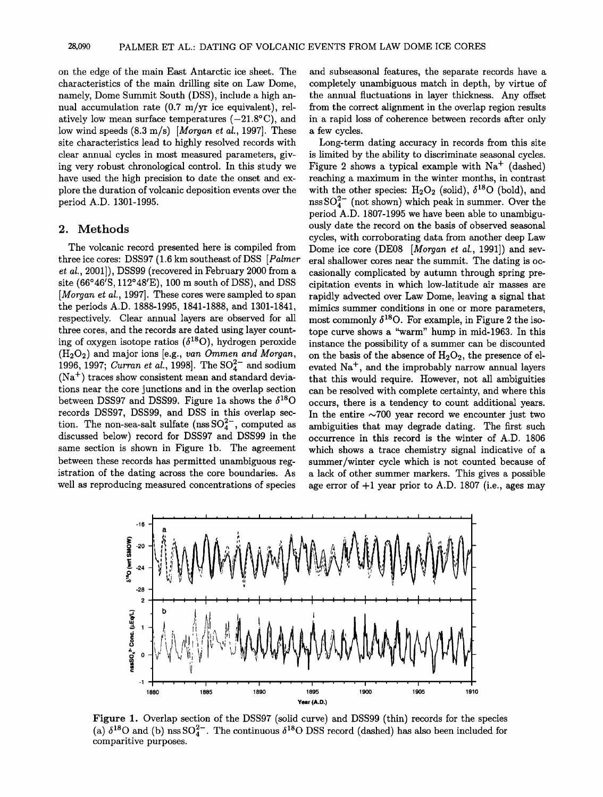**on the edge of the main East Antarctic ice sheet. The characteristics of the main drilling site on Law Dome, namely, Dome Summit South (DSS), include a high annual accumulation rate (0.? m/yr ice equivalent), rel**atively low mean surface temperatures  $(-21.8\textdegree C)$ , and **low wind speeds (8.3 m/s) [Morgan et at., 1997]. These site characteristics lead to highly resolved records with clear annual cycles in most measured parameters, giving very robust chronological control. In this study we have used the high precision to date the onset and explore the duration of volcanic deposition events over the period A.D. 1301-1995.** 

## **2. Methods**

**The volcanic record presented here is compiled from**  three ice cores: DSS97 (1.6 km southeast of DSS [Palmer **et al., 2001]), DSS99 (recovered in February 2000 from a site (66ø46•S, 112ø48•E), 100 m south of DSS), and DSS**  [*Morgan et al.,* 1997]. These cores were sampled to span **the periods A.D. 1888-1995, 1841-1888, and 1301-1841, respectively. Clear annual layers are observed for all three cores, and the records are dated using layer count**ing of oxygen isotope ratios  $(\delta^{18}O)$ , hydrogen peroxide  $(H<sub>2</sub>O<sub>2</sub>)$  and major ions [e.g., van Ommen and Morgan, 1996, 1997; *Curran et al.*, 1998]. The  $SO_4^{2-}$  and sodium (Na<sup>+</sup>) traces show consistent mean and standard devia**tions near the core junctions and in the overlap section**  between DSS97 and DSS99. Figure 1a shows the  $\delta^{18}$ O **records DSS97, DSS99, and DSS in this overlap sec**tion. The non-sea-salt sulfate ( $nss SO<sub>4</sub><sup>2-</sup>$ , computed as **discussed below) record for DSS97 and DSS99 in the same section is shown in Figure lb. The agreement between these records has permitted unambiguous registration of the dating across the core boundaries. As well as reproducing measured concentrations of species** 

**and subseasonal features, the separate records have a completely unambiguous match in depth, by virtue of the annual fluctuations in layer thickness. Any offset from the correct alignment in the overlap region results in a rapid loss of coherence between records after only a few cycles.** 

**Long-term dating accuracy in records from this site is limited by the ability to discriminate seasonal cycles.**  Figure 2 shows a typical example with Na<sup>+</sup> (dashed) **reaching a maximum in the winter months, in contrast**  with the other species:  $H_2O_2$  (solid),  $\delta^{18}O$  (bold), and nss  $SO_4^{2-}$  (not shown) which peak in summer. Over the **period A.D. 1807-1995 we have been able to unambiguously date the record on the basis of observed seasonal cycles, with corroborating data from another deep Law**  Dome ice core (DE08 [Morgan et al., 1991]) and sev**eral shallower cores near the summit. The dating is occasionally complicated by autumn through spring precipitation events in which low-latitude air masses are rapidly advected over Law Dome, leaving a signal that mimics summer conditions in one or more parameters,**  most commonly  $\delta^{18}$ O. For example, in Figure 2 the iso**tope curve shows a "warm" hump in mid-1963. In this instance the possibility of a summer can be discounted**  on the basis of the absence of  $H_2O_2$ , the presence of elevated Na<sup>+</sup>, and the improbably narrow annual layers **that this would require. However, not all ambiguities can be resolved with complete certainty, and where this occurs, there is a tendency to count additional years.**  In the entire  $\sim$ 700 year record we encounter just two **ambiguities that may degrade dating. The first such occurrence in this record is the winter of A.D. 1806 which shows a trace chemistry signal indicative of a summer/winter cycle which is not counted because of a lack of other summer markers. This gives a possible age error of +1 year prior to A.D. 1807 (i.e., ages may** 



**Figure 1. Overlap section of the DSS97 (solid curve) and DSS99 (thin) records for the species**  (a)  $\delta^{18}$ O and (b) nss SO<sub>4</sub><sup>2</sup>. The continuous  $\delta^{18}$ O DSS record (dashed) has also been included for **comparitive purposes.**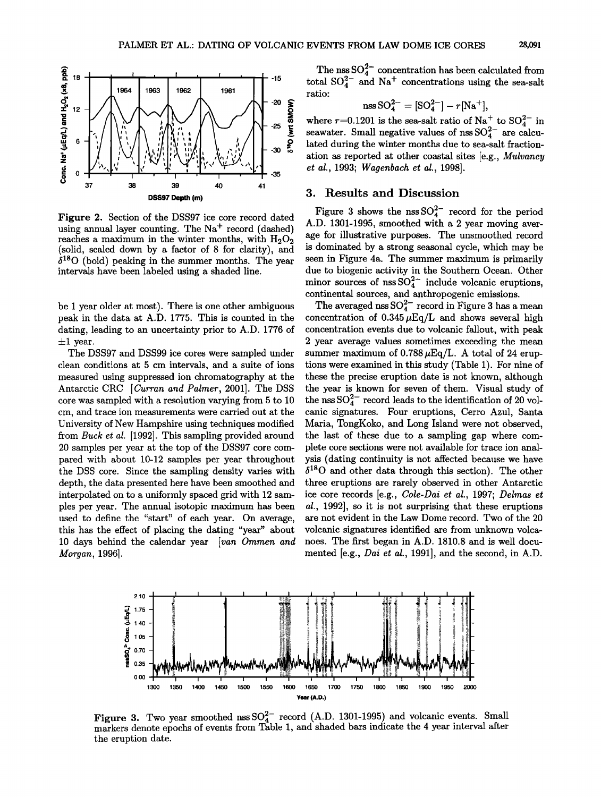

**Figure 2. Section of the DSS97 ice core record dated**  using annual layer counting. The Na<sup>+</sup> record (dashed) reaches a maximum in the winter months, with  $H_2O_2$ **(solid, scaled down by a factor of 8 for clarity), and**   $\delta^{18}$ O (bold) peaking in the summer months. The year **intervals have been labeled using a shaded line.** 

**be I year older at most). There is one other ambiguous peak in the data at A.D. 1775. This is counted in the dating, leading to an uncertainty prior to A.D. 1776 of**   $\pm 1$  year.

**The DSS97 and DSS99 ice cores were sampled under clean conditions at 5 cm intervals, and a suite of ions measured using suppressed ion chromatography at the Antarctic CRC [Curran and Palmer, 2001]. The DSS core was sampled with a resolution varying from 5 to 10 cm, and trace ion measurements were carried out at the University of New Hampshire using techniques modified from Buck et al. [1992]. This sampling provided around 20 samples per year at the top of the DSS97 core compared with about 10-12 samples per year throughout the DSS core. Since the sampling density varies with depth, the data presented here have been smoothed and interpolated on to a uniformly spaced grid with 12 samples per year. The annual isotopic maximum has been used to define the "start" of each year. On average, this has the effect of placing the dating "year" about**  10 days behind the calendar year [van Ommen and **Morgan, 1996].** 

The nss  $SO_4^{2-}$  concentration has been calculated from total  $SO_4^{2-}$  and  $Na<sup>+</sup>$  concentrations using the sea-salt **ratio:** 

$$
\mathrm{nss}\,\mathrm{SO}_4^{2-} = [\mathrm{SO}_4^{2-}] - r[\mathrm{Na}^+],
$$

where  $r=0.1201$  is the sea-salt ratio of  $\text{Na}^+$  to  $\text{SO}_4^{2-}$  in seawater. Small negative values of  $nss\,SO_4^{2-}$  are calcu**lated during the winter months due to sea-salt fractionation as reported at other coastal sites [e.g., Mulvaney et al., 1993; Wagenbach et al., 1998].** 

## **3. Results and Discussion**

Figure 3 shows the  $nssSO_4^{2-}$  record for the period **A.D. 1301-1995, smoothed with a 2 year moving average for illustrative purposes. The unsmoothed record is dominated by a strong seasonal cycle, which may be seen in Figure 4a. The summer maximum is primarily due to biogenic activity in the Southern Ocean. Other**  minor sources of nss  $SO_4^{2-}$  include volcanic eruptions, **continental sources, and anthropogenic emissions.** 

The averaged nss  $SO_4^{2-}$  record in Figure 3 has a mean concentration of  $0.345 \mu\text{Eq/L}$  and shows several high **concentration events due to volcanic fallout, with peak 2 year average values sometimes exceeding the mean**  summer maximum of  $0.788 \mu\text{Eq/L}$ . A total of 24 erup**tions were examined in this study (Table 1). For nine of these the precise eruption date is not known, although the year is known for seven of them. Visual study of**  the nss  $SO_4^{2-}$  record leads to the identification of 20 vol**canic signatures. Four eruptions, Cerro Azul, Santa Maria, TongKoko, and Long Island were not observed, the last of these due to a sampling gap where complete core sections were not available for trace ion analysis (dating continuity is not affected because we have**   $\delta^{18}$ O and other data through this section). The other **three eruptions are rarely observed in other Antarctic ice core records [e.g., Cole-Dai et al., 1997; Delmas et al., 1992], so it is not surprising that these eruptions are not evident in the Law Dome record. Two of the 20 volcanic signatures identified are from unknown volcanoes. The first began in A.D. 1810.8 and is well documented [e.g., Dai et al., 1991], and the second, in A.D.** 



**Figure 3.** Two year smoothed nss  $SO_4^{2-}$  record (A.D. 1301-1995) and volcanic events. Small **markers denote epochs of events from Table 1, and shaded bars indicate the 4 year interval after the eruption date.**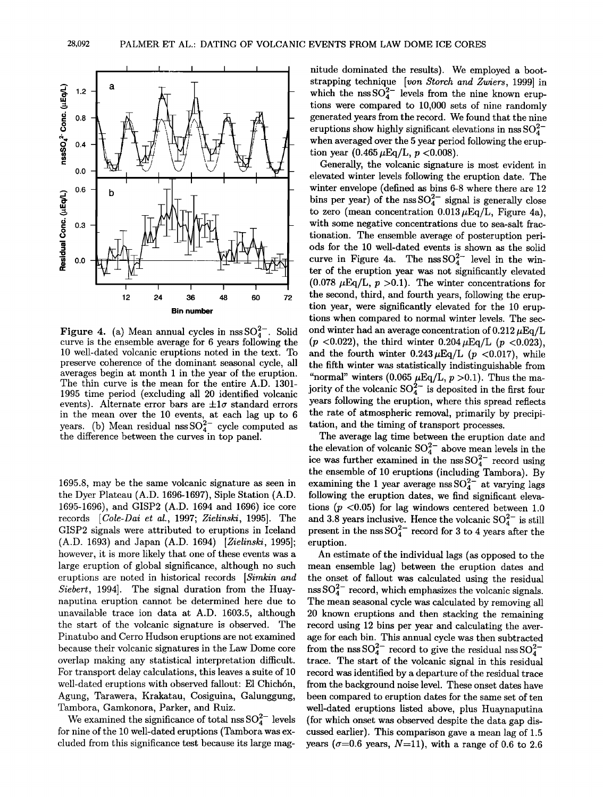

**Figure 4.** (a) Mean annual cycles in  $nssSO<sub>4</sub><sup>2-</sup>$ . Solid **curve is the ensemble average for 6 years following the 10 well-dated volcanic eruptions noted in the text. To preserve coherence of the dominant seasonal cycle, all averages begin at month 1 in the year of the eruption. The thin curve is the mean for the entire A.D. 1301- 1995 time period (excluding all 20 identified volcanic**  events). Alternate error bars are  $\pm 1\sigma$  standard errors **in the mean over the 10 events, at each lag up to 6**   $\text{years.}$  (b) Mean residual nss  $\text{SO}_4^{2-}$  cycle computed as **the difference between the curves in top panel.** 

**1695.8, may be the same volcanic signature as seen in the Dyer Plateau (A.D. 1696-1697), Siple Station (A.D. 1695-1696), and GISP2 (A.D. 1694 and 1696) ice core records [Cole-Dai et al., 1997; Zielinski, 1995]. The GISP2 signals were attributed to eruptions in Iceland**  (A.D. 1693) and Japan (A.D. 1694) [Zielinski, 1995]; **however, it is more likely that one of these events was a large eruption of global significance, although no such eruptions are noted in historical records [Simkin and \$iebert, 1994]. The signal duration from the Huaynaputina eruption cannot be determined here due to unavailable trace ion data at A.D. 1603.5, although the start of the volcanic signature is observed. The Pinatubo and Cerro Hudson eruptions are not examined because their volcanic signatures in the Law Dome core overlap making any statistical interpretation difficult. For transport delay calculations, this leaves a suite of 10**  well-dated eruptions with observed fallout: El Chichón, **Agung, Tarawera, Krakatau, Cosiguina, Galunggung, Tambora, Gamkonora, Parker, and Ruiz.** 

We examined the significance of total  $\text{ns} \, \text{SO}_4^{2-}$  levels **for nine of the 10 well-dated eruptions (Tambora was excluded from this significance test because its large mag-** **nitude dominated the results). We employed a bootstrapping technique [von \$torch and Zwiers, 1999] in**  which the nss  $SO_4^{2-}$  levels from the nine known erup**tions were compared to 10,000 sets of nine randomly generated years from the record. We found that the nine**  eruptions show highly significant elevations in nss  $SO_4^{2-}$ **when averaged over the 5 year period following the erup**tion year  $(0.465 \,\mu\text{Eq/L}, p < 0.008)$ .

**Generally, the volcanic signature is most evident in elevated winter levels following the eruption date. The winter envelope (defined as bins 6-8 where there are 12**  bins per year) of the nss  $SO_4^{2-}$  signal is generally close to zero (mean concentration  $0.013 \mu$ Eq/L, Figure 4a), **with some negative concentrations due to sea-salt fractionation. The ensemble average of posteruption periods for the 10 well-dated events is shown as the solid**  curve in Figure 4a. The  $nssSO_4^{2-}$  level in the win**ter of the eruption year was not significantly elevated**   $(0.078 \mu\text{Eq/L}, p > 0.1)$ . The winter concentrations for **the second, third, and fourth years, following the eruption year, were significantly elevated for the 10 eruptions when compared to normal winter levels. The sec**ond winter had an average concentration of  $0.212 \,\mu\text{Eq/L}$ ( $p$  <0.022), the third winter  $0.204 \mu$ Eq/L ( $p$  <0.023), and the fourth winter  $0.243 \mu$ Eq/L (p <0.017), while **the fifth winter was statistically indistinguishable from**  "normal" winters (0.065  $\mu$ Eq/L,  $p > 0.1$ ). Thus the ma**jority of the volcanic**  $SO_4^{2-}$  **is deposited in the first four years following the eruption, where this spread reflects the rate of atmospheric removal, primarily by precipitation, and the timing of transport processes.** 

**The average lag time between the eruption date and**  the elevation of volcanic  $SO_4^{-}$  above mean levels in the ice was further examined in the nss  $SO_4^{2-}$  record using **the ensemble of 10 eruptions (including Tambora). By**  examining the 1 year average nss  $SO_4^{2-}$  at varying lags **following the eruption dates, we find significant elevations (p <0.05) for lag windows centered between 1.0**  and 3.8 years inclusive. Hence the volcanic  $SO_4^{2-}$  is still present in the  $nss SO_4^{2-}$  record for 3 to 4 years after the **eruption.** 

An estimate of the individual lags (as opposed to the **mean ensemble lag) between the eruption dates and the onset of fallout was calculated using the residual**   $n$ ss  $SO_4^{2-}$  record, which emphasizes the volcanic signals. **The mean seasonal cycle was calculated by removing all 20 known eruptions and then stacking the remaining record using 12 bins per year and calculating the average for each bin. This annual cycle was then subtracted**  from the nss  $SO_4^{2-}$  record to give the residual nss  $SO_4^{2-}$ **trace. The start of the volcanic signal in this residual record was identified by a departure of the residual trace from the background noise level. These onset dates have been compared to eruption dates for the same set of ten well-dated eruptions listed above, plus Huaynaputina**  (for which onset was observed despite the data gap dis**cussed earlier). This comparison gave a mean lag of 1.5**  years ( $\sigma$ =0.6 years, N=11), with a range of 0.6 to 2.6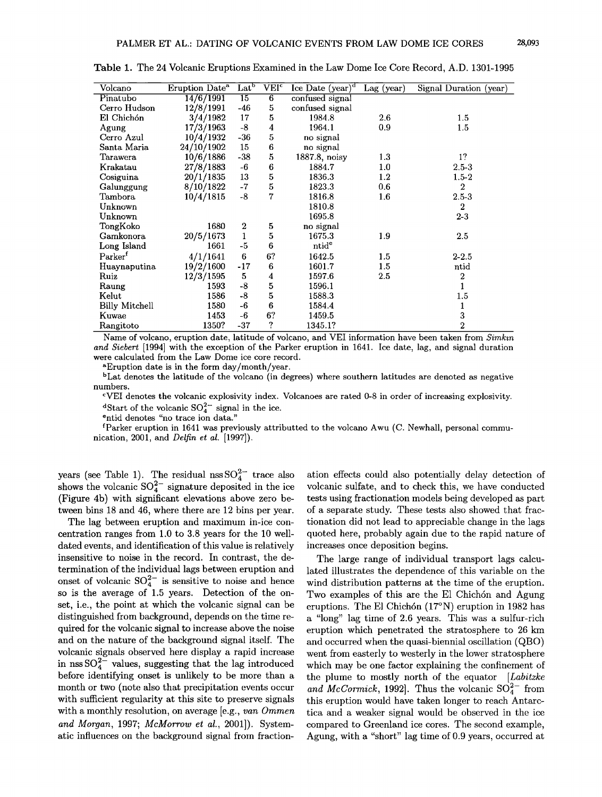| Volcano               | Eruption Date <sup>a</sup> | Lat <sup>b</sup> | VEI <sup>c</sup> | Ice Date $(year)^d$ | $\text{Lag}$ (year) | Signal Duration (year) |
|-----------------------|----------------------------|------------------|------------------|---------------------|---------------------|------------------------|
| Pinatubo              | 14/6/1991                  | $\overline{15}$  | $6\overline{6}$  | confused signal     |                     |                        |
| Cerro Hudson          | 12/8/1991                  | $-46$            | 5                | confused signal     |                     |                        |
| El Chichón            | 3/4/1982                   | 17               | 5                | 1984.8              | 2.6                 | 1.5                    |
| Agung                 | 17/3/1963                  | $-8$             | 4                | 1964.1              | 0.9                 | 1.5                    |
| Cerro Azul            | 10/4/1932                  | $-36$            | 5                | no signal           |                     |                        |
| Santa Maria           | 24/10/1902                 | 15               | 6                | no signal           |                     |                        |
| Tarawera              | 10/6/1886                  | $-38$            | 5                | 1887.8, noisy       | 1.3                 | 1?                     |
| Krakatau              | 27/8/1883                  | -6               | 6                | 1884.7              | 1.0                 | $2.5 - 3$              |
| Cosiguina             | 20/1/1835                  | 13               | 5                | 1836.3              | 1.2                 | $1.5 - 2$              |
| Galunggung            | 8/10/1822                  | $-7$             | 5                | 1823.3              | 0.6                 | $\boldsymbol{2}$       |
| Tambora               | 10/4/1815                  | $-8$             | 7                | 1816.8              | 1.6                 | $2.5 - 3$              |
| Unknown               |                            |                  |                  | 1810.8              |                     | $\boldsymbol{2}$       |
| Unknown               |                            |                  |                  | 1695.8              |                     | $2-3$                  |
| TongKoko              | 1680                       | $\boldsymbol{2}$ | 5                | no signal           |                     |                        |
| Gamkonora             | 20/5/1673                  | $\mathbf{1}$     | 5                | 1675.3              | 1.9                 | 2.5                    |
| Long Island           | 1661                       | -5               | 6                | ntid <sup>e</sup>   |                     |                        |
| Parker <sup>f</sup>   | 4/1/1641                   | 6                | 6?               | 1642.5              | $1.5\,$             | $2 - 2.5$              |
| Huaynaputina          | 19/2/1600                  | $-17$            | 6                | 1601.7              | 1.5                 | ntid                   |
| Ruiz                  | 12/3/1595                  | $\bf 5$          | 4                | 1597.6              | 2.5                 | 2                      |
| Raung                 | 1593                       | $-8$             | 5                | 1596.1              |                     |                        |
| Kelut                 | 1586                       | $-8$             | 5                | 1588.3              |                     | 1.5                    |
| <b>Billy Mitchell</b> | 1580                       | $-6$             | 6                | 1584.4              |                     | 1                      |
| Kuwae                 | 1453                       | -6               | 6?               | 1459.5              |                     | 3                      |
| Rangitoto             | 1350?                      | $-37$            | ?                | 1345.1?             |                     | 2                      |

**Table 1. The 24 Volcanic Eruptions Examined in the Law Dome Ice Core Record, A.D. 1301-1995** 

Name of volcano, eruption date, latitude of volcano, and VEI information have been taken from *Simkin* and Siebert [1994] with the exception of the Parker eruption in 1641. Ice date, lag, and signal duration **were calculated from the Law Dome ice core record.** 

**aEruption date is in the form day/month/year.** 

**b Lat denotes the latitude of the volcano (in degrees) where southern latitudes are denoted as negative numbers.** 

**cVEI denotes the volcanic explosivity index. Volcanoes are rated 0-8 in order of increasing explosivity.**  <sup>d</sup>Start of the volcanic  $SO_4^{2-}$  signal in the ice.

<sup>e</sup>ntid denotes "no trace ion data."

**fParker eruption in 1641 was previously attributted to the volcano Awu (C. Newhall, personal communication, 2001, and Delfin et al. [1997]).** 

**years** (see Table 1). The residual  $\text{nss}\,\text{SO}_4^{2-}$  trace also shows the volcanic  $SO_4^2$  signature deposited in the ice **(Figure 4b) with significant elevations above zero between bins 18 and 46, where there are 12 bins per year.** 

**The lag between eruption and maximum in-ice concentration ranges from 1.0 to 3.8 years for the 10 welldated events, and identification of this value is relatively insensitive to noise in the record. In contrast, the determination of the individual lags between eruption and**  onset of volcanic  $SO_4^{2-}$  is sensitive to noise and hence **so is the average of 1.5 years. Detection of the onset, i.e., the point at which the volcanic signal can be distinguished from background, depends on the time required for the volcanic signal to increase above the noise and on the nature of the background signal itself. The volcanic signals observed here display a rapid increase**  in nss  $SO_4^{2-}$  values, suggesting that the lag introduced **before identifying onset is unlikely to be more than a month or two (note also that precipitation events occur with sufficient regularity at this site to preserve signals**  with a monthly resolution, on average [e.g., *van Ommen* and Morgan, 1997; McMorrow et al., 2001]). System**atic influences on the background signal from fraction-**

**ation effects could also potentially delay detection of volcanic sulfate, and to check this, we have conducted tests using fractionation models being developed as part of a separate study. These tests also showed that fracrionation did not lead to appreciable change in the lags quoted here, probably again due to the rapid nature of increases once deposition begins.** 

**The large range of individual transport lags calculated illustrates the dependence of this variable on the wind distribution patterns at the time of the eruption.**  Two examples of this are the El Chichón and Agung eruptions. The El Chichón (17°N) eruption in 1982 has **a "long" lag time of 2.6 years. This was a sulfur-rich eruption which penetrated the stratosphere to 26 km and occurred when the quasi-biennial oscillation (QBO) went from easterly to westerly in the lower stratosphere which may be one factor explaining the confinement of the plume to mostly north of the equator [Labitzke**  and McCormick, 1992]. Thus the volcanic  $SO_4^{2-}$  from **this eruption would have taken longer to reach Antarctica and a weaker signal would be observed in the ice compared to Greenland ice cores. The second example, Agung, with a "short" lag time of 0.9 years, occurred at**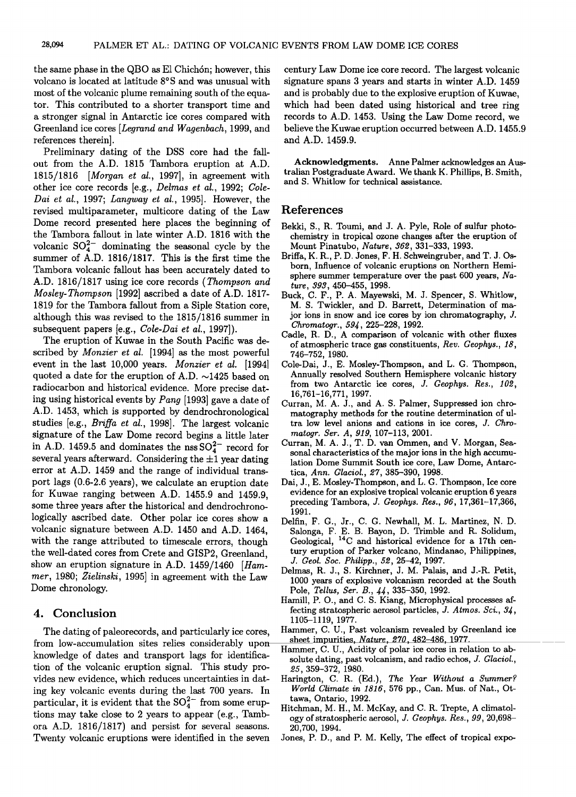**the same phase in the QBO as E1 Chich6n; however, this volcano is located at latitude 8øS and was unusual with most of the volcanic plume remaining south of the equator. This contributed to a shorter transport time and a stronger signal in Antarctic ice cores compared with Greenland ice cores [Legrand and Wagenbach, 1999, and references therein].** 

**Preliminary dating of the DSS core had the fallout from the A.D. 1815 Tambora eruption at A.D. 1815/1816 [Morgan et al., 1997], in agreement with other ice core records [e.g., Delmas et al., 1992; Cole-Dai et al., 1997; Langway et al., 1995]. However, the revised multiparameter, multicore dating of the Law Dome record presented here places the beginning of the Tambora fallout in late winter A.D. 1816 with the**  volcanic  $SO_4^{2-}$  dominating the seasonal cycle by the **summer of A.D. 1816/1817. This is the first time the Tambora volcanic fallout has been accurately dated to A.D. 1816/1817 using ice core records (Thompson and Mosley-Thompson [1992] ascribed a date of A.D. 1817- 1819 for the Tambora fallout from a Siple Station core, although this was revised to the 1815/1816 summer in subsequent papers [e.g., Cole-Dai et al., 1997]).** 

**The eruption of Kuwae in the South Pacific was described by Monzier et al. [1994] as the most powerful event in the last 10,000 years. Monzier et al. [1994]**  quoted a date for the eruption of A.D.  $\sim$ 1425 based on **radiocarbon and historical evidence. More precise dating using historical events by Pang [1993] gave a date of A.D. 1453, which is supported by dendrochronological studies [e.g., Briffa et al., 1998]. The largest volcanic signature of the Law Dome record begins a little later**  in A.D. 1459.5 and dominates the nss  $SO_4^{2-}$  record for several years afterward. Considering the  $\pm 1$  year dating **error at A.D. 1459 and the range of individual transport lags (0.6-2.6 years), we calculate an eruption date for Kuwae ranging between A.D. 1455.9 and 1459.9, some three years after the historical and dendrochronologically ascribed date. Other polar ice cores show a volcanic signature between A.D. 1450 and A.D. 1464, with the range attributed to timescale errors, though the well-dated cores from Crete and GISP2, Greenland, show an eruption signature in A.D. 1459/1460 [Hammer, 1980; Zielinski, 1995] in agreement with the Law Dome chronology.** 

#### **4. Conclusion**

**The dating of paleorecords, and particularly ice cores, from low-accumulation sites relies considerably upon knowledge of dates and transport lags for identification of the volcanic eruption signal. This study provides new evidence, which reduces uncertainties in dating key volcanic events during the last 700 years. In**  particular, it is evident that the  $SO_4^{2-}$  from some erup**tions may take close to 2 years to appear (e.g., Tambora A.D. 1816/1817) and persist for several seasons. Twenty volcanic eruptions were identified in the seven**  **century Law Dome ice core record. The largest volcanic signature spans 3 years and starts in winter A.D. 1459 and is probably due to the explosive eruption of Kuwae, which had been dated using historical and tree ring records to A.D. 1453. Using the Law Dome record, we believe the Kuwae eruption occurred between A.D. 1455.9 and A.D. 1459.9.** 

**Acknowledgments. Anne Palmer acknowledges an Australian Postgraduate Award. We thank K. Phillips, B. Smith, and S. Whitlow for technical assistance.** 

#### **References**

- **Bekki, S., R. Toumi, and J. A. Pyle, Role of sulfur photochemistry in tropical ozone changes after the eruption of Mount Pinatubo, Nature, 362,331-333, 1993.**
- **Briffa, K. R., P. D. Jones, F. H. Schweingruber, and T. J. Osborn, Influence of volcanic eruptions on Northern Hemisphere summer temperature over the past 600 years, Nature, 393,450-455, 1998.**
- **Buck, C. F., P. A. Mayewski, M. J. Spencer, S. Whitlow, M. S. Twickler, and D. Barrett, Determination of major ions in snow and ice cores by ion chromatography, J. Chromatogr., 59•, 225-228, 1992.**
- **Cadle, R. D., A comparison of volcanic with other fluxes of atmospheric trace gas constituents, Rev. Geophys., 18, 746-752, 1980.**
- **Cole-Dai, J., E. Mosley-Thompson, and L. G. Thompson, Annually resolved Southern Hemisphere volcanic history from two Antarctic ice cores, J. Geophys. Res., 102, 16,761-16,771, 1997.**
- **Curran, M. A. J., and A. S. Palmer, Suppressed ion chromatography methods for the routine determination of ultra low level anions and cations in ice cores, J. Chromatogr. Set. A, 919, 107-113, 2001.**
- **Curran, M. A. J., T. D. van Ommen, and V. Morgan, Seasonal characteristics of the major ions in the high accumulation Dome Summit South ice core, Law Dome, Antarctica, Ann. Glaciol., 27, 385-390, 1998.**
- **Dai, J., E. Mosley-Thompson, and L. G. Thompson, Ice core evidence for an explosive tropical volcanic eruption 6 years preceding Tambora, J. Geophys. Res., 96, 17,361-17,366, 1991.**
- **Delfin, F. G., Jr., C. G. Newhall, M. L. Martinez, N. D. Salonga, F. E. B. Bayon, D. Trimble and R. Solidum, Geological, 14C and historical evidence for a 17th century eruption of Parker volcano, Mindanao, Philippines, J. Geol. Soc. Philipp., 52, 25-42, 1997.**
- **Delmas, R. J., S. Kirchner, J. M. Palais, and J.-R. Petit, 1000 years of explosive volcanism recorded at the South**  Pole, *Tellus, Ser. B.*, 44, 335-350, 1992.
- **Hamill, P. O., and C. S. Kiang, Microphysical processes af**fecting stratospheric aerosol particles, J. Atmos. Sci., 34, **1105-1119, 1977.**
- **Hammer, C. U., Past volcanism revealed by Greenland ice sheet impurities, Nature, 270,482-486, 1977.**
- **Hammer, C. U., Acidity of polar ice cores in relation to absolute dating, past volcanism, and radio echos, J. Glaciol., 25,359-372, 1980.**
- **Harington, C. R. (Ed.), The Year Without a Summer? World Climate in 1816, 576 pp., Can. Mus. of Nat., Ottawa, Ontario, 1992.**
- **Hitchman, M. H., M. McKay, and C. R. Trepte, A climatology of stratospheric aerosol, J. Geophys. Res., 99, 20,698- 20,700, 1994.**
- **Jones, P. D., and P.M. Kelly, The effect of tropical expo-**